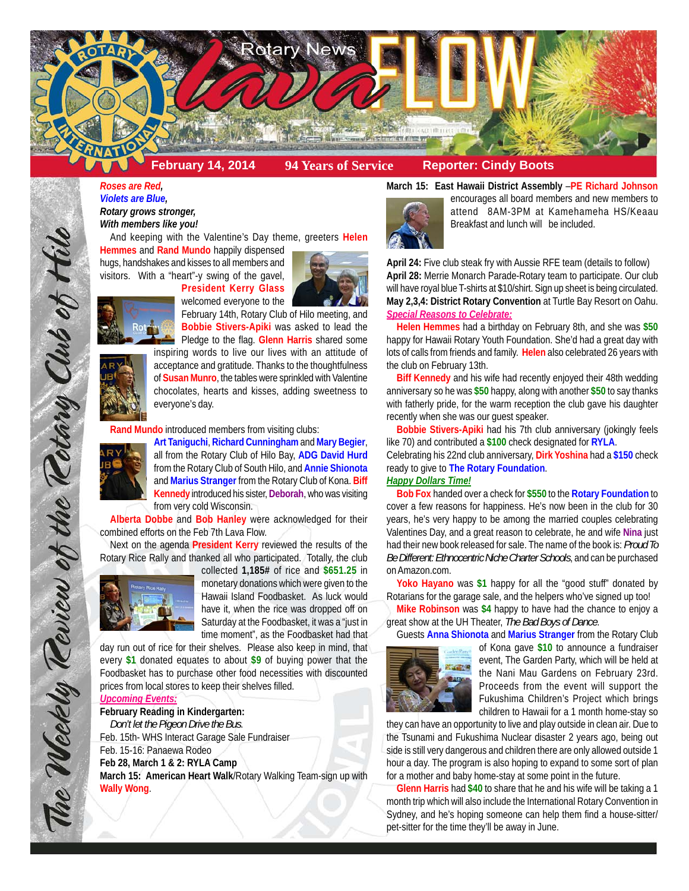

*Roses are Red, Violets are Blue, Rotary grows stronger, With members like you!*

And keeping with the Valentine's Day theme, greeters **Helen**

welcomed everyone to the

**Hemmes** and **Rand Mundo** happily dispensed hugs, handshakes and kisses to all members and visitors. With a "heart"-y swing of the gavel, **President Kerry Glass**



**Bobbie Stivers-Apiki** was asked to lead the Pledge to the flag. **Glenn Harris** shared some inspiring words to live our lives with an attitude of acceptance and gratitude. Thanks to the thoughtfulness of **Susan Munro**, the tables were sprinkled with Valentine chocolates, hearts and kisses, adding sweetness to everyone's day.

**Rand Mundo** introduced members from visiting clubs:



The Weekly Review of the Rotary Club of Hil

**Art Taniguchi**, **Richard Cunningham** and **Mary Begier**, all from the Rotary Club of Hilo Bay, **ADG David Hurd** from the Rotary Club of South Hilo, and **Annie Shionota** and **Marius Stranger** from the Rotary Club of Kona. **Biff Kennedy** introduced his sister, **Deborah**, who was visiting from very cold Wisconsin.

**Alberta Dobbe** and **Bob Hanley** were acknowledged for their combined efforts on the Feb 7th Lava Flow.

Next on the agenda **President Kerry** reviewed the results of the Rotary Rice Rally and thanked all who participated. Totally, the club



collected **1,185#** of rice and **\$651.25** in monetary donations which were given to the Hawaii Island Foodbasket. As luck would have it, when the rice was dropped off on Saturday at the Foodbasket, it was a "just in time moment", as the Foodbasket had that

day run out of rice for their shelves. Please also keep in mind, that every **\$1** donated equates to about **\$9** of buying power that the Foodbasket has to purchase other food necessities with discounted prices from local stores to keep their shelves filled.

### *Upcoming Events:*

# **February Reading in Kindergarten:**

*Don't let the Pigeon Drive the Bus*. Feb. 15th- WHS Interact Garage Sale Fundraiser Feb. 15-16: Panaewa Rodeo **Feb 28, March 1 & 2: RYLA Camp**

**March 15: American Heart Walk**/Rotary Walking Team-sign up with **Wally Wong**.





encourages all board members and new members to attend 8AM-3PM at Kamehameha HS/Keaau Breakfast and lunch will be included.

**April 24:** Five club steak fry with Aussie RFE team (details to follow) **April 28:** Merrie Monarch Parade-Rotary team to participate. Our club will have royal blue T-shirts at \$10/shirt. Sign up sheet is being circulated. **May 2,3,4: District Rotary Convention** at Turtle Bay Resort on Oahu. *Special Reasons to Celebrate:*

**Helen Hemmes** had a birthday on February 8th, and she was **\$50** happy for Hawaii Rotary Youth Foundation. She'd had a great day with lots of calls from friends and family. **Helen** also celebrated 26 years with the club on February 13th.

**Biff Kennedy** and his wife had recently enjoyed their 48th wedding anniversary so he was **\$50** happy, along with another **\$50** to say thanks with fatherly pride, for the warm reception the club gave his daughter recently when she was our guest speaker.

**Bobbie Stivers-Apiki** had his 7th club anniversary (jokingly feels like 70) and contributed a **\$100** check designated for **RYLA**.

Celebrating his 22nd club anniversary, **Dirk Yoshina** had a **\$150** check ready to give to **The Rotary Foundation**.

## *Happy Dollars Time!*

**Bob Fox** handed over a check for **\$550** to the **Rotary Foundation** to cover a few reasons for happiness. He's now been in the club for 30 years, he's very happy to be among the married couples celebrating Valentines Day, and a great reason to celebrate, he and wife **Nina** just had their new book released for sale. The name of the book is: *Proud To Be Different: Ethnocentric Niche Charter Schools*, and can be purchased on Amazon.com.

**Yoko Hayano** was **\$1** happy for all the "good stuff" donated by Rotarians for the garage sale, and the helpers who've signed up too!

**Mike Robinson** was **\$4** happy to have had the chance to enjoy a great show at the UH Theater, *The Bad Boys of Dance*.

Guests **Anna Shionota** and **Marius Stranger** from the Rotary Club



of Kona gave **\$10** to announce a fundraiser event, The Garden Party, which will be held at the Nani Mau Gardens on February 23rd. Proceeds from the event will support the Fukushima Children's Project which brings children to Hawaii for a 1 month home-stay so

they can have an opportunity to live and play outside in clean air. Due to the Tsunami and Fukushima Nuclear disaster 2 years ago, being out side is still very dangerous and children there are only allowed outside 1 hour a day. The program is also hoping to expand to some sort of plan for a mother and baby home-stay at some point in the future.

**Glenn Harris** had **\$40** to share that he and his wife will be taking a 1 month trip which will also include the International Rotary Convention in Sydney, and he's hoping someone can help them find a house-sitter/ pet-sitter for the time they'll be away in June.